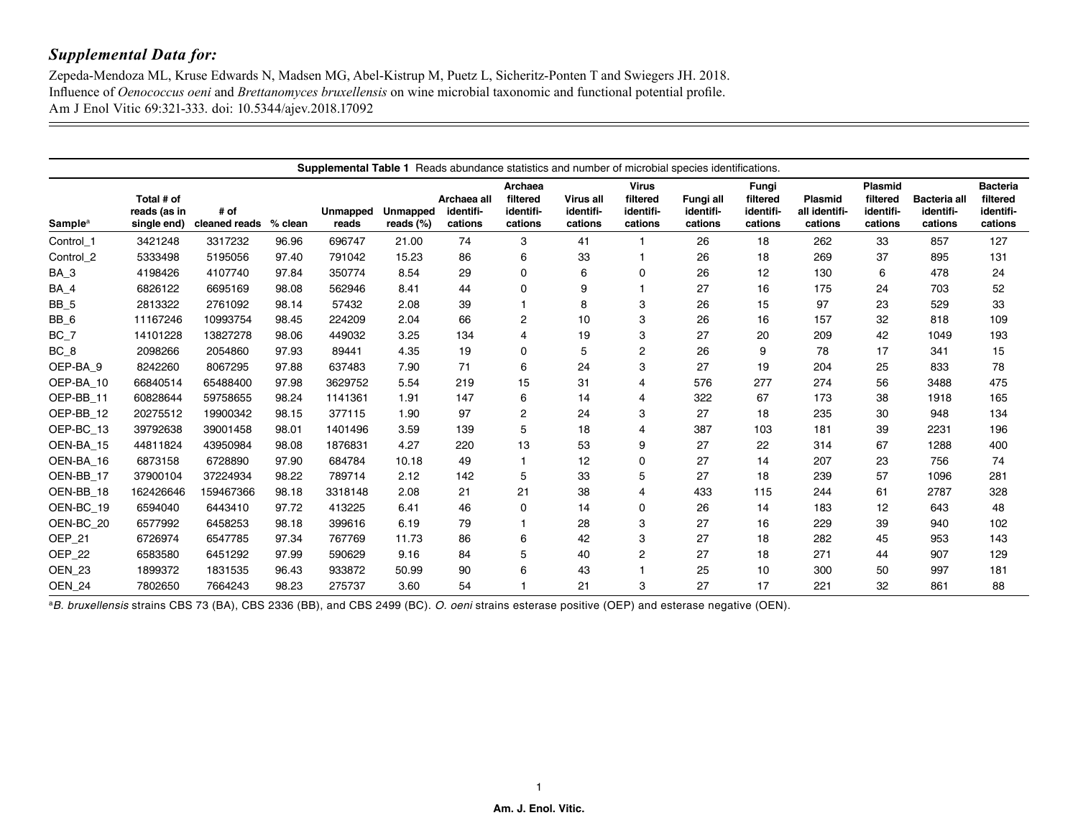$\overline{\phantom{a}}$ 

Zepeda-Mendoza ML, Kruse Edwards N, Madsen MG, Abel-Kistrup M, Puetz L, Sicheritz-Ponten T and Swiegers JH. 2018. Influence of *Oenococcus oeni* and *Brettanomyces bruxellensis* on wine microbial taxonomic and functional potential profile. Am J Enol Vitic 69:321-333. doi: 10.5344/ajev.2018.17092

|                           | <b>Supplemental Table 1</b> Reads abundance statistics and number of microbial species identifications. |                       |         |                          |                          |                                     |                                             |                                   |                                                  |                                   |                                           |                                            |                                                    |                                             |                                                     |
|---------------------------|---------------------------------------------------------------------------------------------------------|-----------------------|---------|--------------------------|--------------------------|-------------------------------------|---------------------------------------------|-----------------------------------|--------------------------------------------------|-----------------------------------|-------------------------------------------|--------------------------------------------|----------------------------------------------------|---------------------------------------------|-----------------------------------------------------|
| <b>Sample<sup>a</sup></b> | Total # of<br>reads (as in<br>single end)                                                               | # of<br>cleaned reads | % clean | <b>Unmapped</b><br>reads | Unmapped<br>reads $(\%)$ | Archaea all<br>identifi-<br>cations | Archaea<br>filtered<br>identifi-<br>cations | Virus all<br>identifi-<br>cations | <b>Virus</b><br>filtered<br>identifi-<br>cations | Fungi all<br>identifi-<br>cations | Fungi<br>filtered<br>identifi-<br>cations | <b>Plasmid</b><br>all identifi-<br>cations | <b>Plasmid</b><br>filtered<br>identifi-<br>cations | <b>Bacteria all</b><br>identifi-<br>cations | <b>Bacteria</b><br>filtered<br>identifi-<br>cations |
| Control 1                 | 3421248                                                                                                 | 3317232               | 96.96   | 696747                   | 21.00                    | 74                                  | 3                                           | 41                                |                                                  | 26                                | 18                                        | 262                                        | 33                                                 | 857                                         | 127                                                 |
| Control 2                 | 5333498                                                                                                 | 5195056               | 97.40   | 791042                   | 15.23                    | 86                                  | 6                                           | 33                                |                                                  | 26                                | 18                                        | 269                                        | 37                                                 | 895                                         | 131                                                 |
| BA_3                      | 4198426                                                                                                 | 4107740               | 97.84   | 350774                   | 8.54                     | 29                                  | 0                                           | 6                                 | 0                                                | 26                                | 12                                        | 130                                        | 6                                                  | 478                                         | 24                                                  |
| BA_4                      | 6826122                                                                                                 | 6695169               | 98.08   | 562946                   | 8.41                     | 44                                  | 0                                           | 9                                 |                                                  | 27                                | 16                                        | 175                                        | 24                                                 | 703                                         | 52                                                  |
| BB_5                      | 2813322                                                                                                 | 2761092               | 98.14   | 57432                    | 2.08                     | 39                                  |                                             | 8                                 | 3                                                | 26                                | 15                                        | 97                                         | 23                                                 | 529                                         | 33                                                  |
| $BB_6$                    | 11167246                                                                                                | 10993754              | 98.45   | 224209                   | 2.04                     | 66                                  | $\mathbf{2}$                                | 10                                | 3                                                | 26                                | 16                                        | 157                                        | 32                                                 | 818                                         | 109                                                 |
| $BC_7$                    | 14101228                                                                                                | 13827278              | 98.06   | 449032                   | 3.25                     | 134                                 | 4                                           | 19                                | 3                                                | 27                                | 20                                        | 209                                        | 42                                                 | 1049                                        | 193                                                 |
| BC_8                      | 2098266                                                                                                 | 2054860               | 97.93   | 89441                    | 4.35                     | 19                                  | 0                                           | 5                                 | $\overline{2}$                                   | 26                                | 9                                         | 78                                         | 17                                                 | 341                                         | 15                                                  |
| OEP-BA_9                  | 8242260                                                                                                 | 8067295               | 97.88   | 637483                   | 7.90                     | 71                                  | 6                                           | 24                                | 3                                                | 27                                | 19                                        | 204                                        | 25                                                 | 833                                         | 78                                                  |
| OEP-BA 10                 | 66840514                                                                                                | 65488400              | 97.98   | 3629752                  | 5.54                     | 219                                 | 15                                          | 31                                | 4                                                | 576                               | 277                                       | 274                                        | 56                                                 | 3488                                        | 475                                                 |
| OEP-BB 11                 | 60828644                                                                                                | 59758655              | 98.24   | 1141361                  | 1.91                     | 147                                 | 6                                           | 14                                | 4                                                | 322                               | 67                                        | 173                                        | 38                                                 | 1918                                        | 165                                                 |
| OEP-BB 12                 | 20275512                                                                                                | 19900342              | 98.15   | 377115                   | 1.90                     | 97                                  | $\mathbf{2}$                                | 24                                | 3                                                | 27                                | 18                                        | 235                                        | 30                                                 | 948                                         | 134                                                 |
| OEP-BC 13                 | 39792638                                                                                                | 39001458              | 98.01   | 1401496                  | 3.59                     | 139                                 | 5                                           | 18                                | $\overline{4}$                                   | 387                               | 103                                       | 181                                        | 39                                                 | 2231                                        | 196                                                 |
| OEN-BA_15                 | 44811824                                                                                                | 43950984              | 98.08   | 1876831                  | 4.27                     | 220                                 | 13                                          | 53                                | 9                                                | 27                                | 22                                        | 314                                        | 67                                                 | 1288                                        | 400                                                 |
| OEN-BA 16                 | 6873158                                                                                                 | 6728890               | 97.90   | 684784                   | 10.18                    | 49                                  | 1                                           | 12                                | 0                                                | 27                                | 14                                        | 207                                        | 23                                                 | 756                                         | 74                                                  |
| OEN-BB_17                 | 37900104                                                                                                | 37224934              | 98.22   | 789714                   | 2.12                     | 142                                 | 5                                           | 33                                | 5                                                | 27                                | 18                                        | 239                                        | 57                                                 | 1096                                        | 281                                                 |
| OEN-BB_18                 | 162426646                                                                                               | 159467366             | 98.18   | 3318148                  | 2.08                     | 21                                  | 21                                          | 38                                | 4                                                | 433                               | 115                                       | 244                                        | 61                                                 | 2787                                        | 328                                                 |
| OEN-BC_19                 | 6594040                                                                                                 | 6443410               | 97.72   | 413225                   | 6.41                     | 46                                  | 0                                           | 14                                | $\mathbf 0$                                      | 26                                | 14                                        | 183                                        | 12                                                 | 643                                         | 48                                                  |
| OEN-BC 20                 | 6577992                                                                                                 | 6458253               | 98.18   | 399616                   | 6.19                     | 79                                  |                                             | 28                                | 3                                                | 27                                | 16                                        | 229                                        | 39                                                 | 940                                         | 102                                                 |
| OEP_21                    | 6726974                                                                                                 | 6547785               | 97.34   | 767769                   | 11.73                    | 86                                  | 6                                           | 42                                | 3                                                | 27                                | 18                                        | 282                                        | 45                                                 | 953                                         | 143                                                 |
| OEP_22                    | 6583580                                                                                                 | 6451292               | 97.99   | 590629                   | 9.16                     | 84                                  | 5                                           | 40                                | $\overline{c}$                                   | 27                                | 18                                        | 271                                        | 44                                                 | 907                                         | 129                                                 |
| <b>OEN 23</b>             | 1899372                                                                                                 | 1831535               | 96.43   | 933872                   | 50.99                    | 90                                  | 6                                           | 43                                |                                                  | 25                                | 10                                        | 300                                        | 50                                                 | 997                                         | 181                                                 |
| <b>OEN 24</b>             | 7802650                                                                                                 | 7664243               | 98.23   | 275737                   | 3.60                     | 54                                  |                                             | 21                                | 3                                                | 27                                | 17                                        | 221                                        | 32                                                 | 861                                         | 88                                                  |

a*B. bruxellensis* strains CBS 73 (BA), CBS 2336 (BB), and CBS 2499 (BC). *O. oeni* strains esterase positive (OEP) and esterase negative (OEN).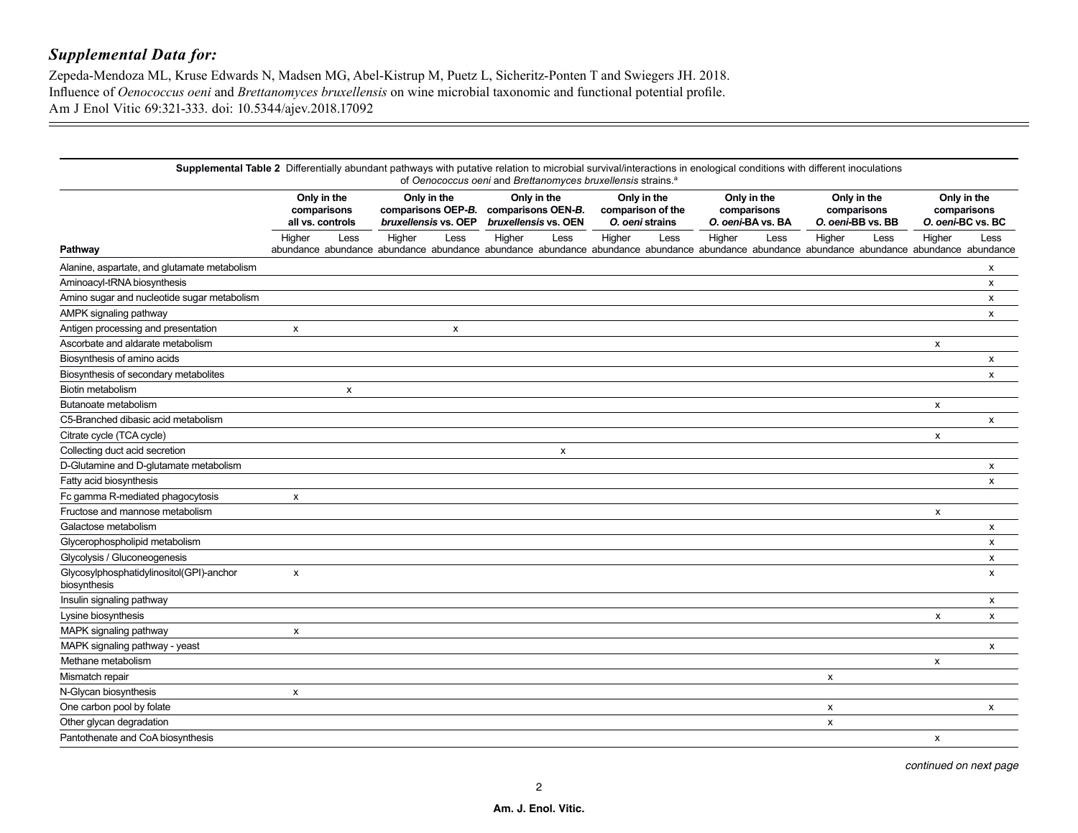$\overline{\phantom{a}}$ 

Zepeda-Mendoza ML, Kruse Edwards N, Madsen MG, Abel-Kistrup M, Puetz L, Sicheritz-Ponten T and Swiegers JH. 2018. Influence of *Oenococcus oeni* and *Brettanomyces bruxellensis* on wine microbial taxonomic and functional potential profile. Am J Enol Vitic 69:321-333. doi: 10.5344/ajev.2018.17092

|                                                          | Supplemental Table 2 Differentially abundant pathways with putative relation to microbial survival/interactions in enological conditions with different inoculations<br>of Oenococcus oeni and Brettanomyces bruxellensis strains. <sup>a</sup> |      |                                                                                                                                                       |                           |                                                                                            |                           |        |                                                 |        |                                                 |                           |                                                 |        |      |
|----------------------------------------------------------|-------------------------------------------------------------------------------------------------------------------------------------------------------------------------------------------------------------------------------------------------|------|-------------------------------------------------------------------------------------------------------------------------------------------------------|---------------------------|--------------------------------------------------------------------------------------------|---------------------------|--------|-------------------------------------------------|--------|-------------------------------------------------|---------------------------|-------------------------------------------------|--------|------|
|                                                          | Only in the<br>comparisons<br>all vs. controls                                                                                                                                                                                                  |      | Only in the<br>comparisons OEP-B. comparisons OEN-B.<br>bruxellensis vs. OEP                                                                          |                           | Only in the<br>Only in the<br>comparison of the<br>bruxellensis vs. OEN<br>O. oeni strains |                           |        | Only in the<br>comparisons<br>O. oeni-BA vs. BA |        | Only in the<br>comparisons<br>O. oeni-BB vs. BB |                           | Only in the<br>comparisons<br>O. oeni-BC vs. BC |        |      |
| Pathway                                                  | Higher                                                                                                                                                                                                                                          | Less | Higher<br>abundance abundance abundance abundance abundance abundance abundance abundance abundance abundance abundance abundance abundance abundance | Less                      | Higher                                                                                     | Less                      | Higher | Less                                            | Higher | Less                                            | Higher                    | Less                                            | Higher | Less |
| Alanine, aspartate, and glutamate metabolism             |                                                                                                                                                                                                                                                 |      |                                                                                                                                                       |                           |                                                                                            |                           |        |                                                 |        |                                                 |                           |                                                 |        | х    |
| Aminoacyl-tRNA biosynthesis                              |                                                                                                                                                                                                                                                 |      |                                                                                                                                                       |                           |                                                                                            |                           |        |                                                 |        |                                                 |                           |                                                 |        | X    |
| Amino sugar and nucleotide sugar metabolism              |                                                                                                                                                                                                                                                 |      |                                                                                                                                                       |                           |                                                                                            |                           |        |                                                 |        |                                                 |                           |                                                 |        | х    |
| AMPK signaling pathway                                   |                                                                                                                                                                                                                                                 |      |                                                                                                                                                       |                           |                                                                                            |                           |        |                                                 |        |                                                 |                           |                                                 |        | x    |
| Antigen processing and presentation                      | X                                                                                                                                                                                                                                               |      |                                                                                                                                                       | $\boldsymbol{\mathsf{x}}$ |                                                                                            |                           |        |                                                 |        |                                                 |                           |                                                 |        |      |
| Ascorbate and aldarate metabolism                        |                                                                                                                                                                                                                                                 |      |                                                                                                                                                       |                           |                                                                                            |                           |        |                                                 |        |                                                 |                           |                                                 | x      |      |
| Biosynthesis of amino acids                              |                                                                                                                                                                                                                                                 |      |                                                                                                                                                       |                           |                                                                                            |                           |        |                                                 |        |                                                 |                           |                                                 |        | х    |
| Biosynthesis of secondary metabolites                    |                                                                                                                                                                                                                                                 |      |                                                                                                                                                       |                           |                                                                                            |                           |        |                                                 |        |                                                 |                           |                                                 |        | x    |
| <b>Biotin metabolism</b>                                 |                                                                                                                                                                                                                                                 | X    |                                                                                                                                                       |                           |                                                                                            |                           |        |                                                 |        |                                                 |                           |                                                 |        |      |
| Butanoate metabolism                                     |                                                                                                                                                                                                                                                 |      |                                                                                                                                                       |                           |                                                                                            |                           |        |                                                 |        |                                                 |                           |                                                 | X      |      |
| C5-Branched dibasic acid metabolism                      |                                                                                                                                                                                                                                                 |      |                                                                                                                                                       |                           |                                                                                            |                           |        |                                                 |        |                                                 |                           |                                                 |        | x    |
| Citrate cycle (TCA cycle)                                |                                                                                                                                                                                                                                                 |      |                                                                                                                                                       |                           |                                                                                            |                           |        |                                                 |        |                                                 |                           |                                                 | X      |      |
| Collecting duct acid secretion                           |                                                                                                                                                                                                                                                 |      |                                                                                                                                                       |                           |                                                                                            | $\boldsymbol{\mathsf{x}}$ |        |                                                 |        |                                                 |                           |                                                 |        |      |
| D-Glutamine and D-glutamate metabolism                   |                                                                                                                                                                                                                                                 |      |                                                                                                                                                       |                           |                                                                                            |                           |        |                                                 |        |                                                 |                           |                                                 |        | x    |
| Fatty acid biosynthesis                                  |                                                                                                                                                                                                                                                 |      |                                                                                                                                                       |                           |                                                                                            |                           |        |                                                 |        |                                                 |                           |                                                 |        | x    |
| Fc gamma R-mediated phagocytosis                         | x                                                                                                                                                                                                                                               |      |                                                                                                                                                       |                           |                                                                                            |                           |        |                                                 |        |                                                 |                           |                                                 |        |      |
| Fructose and mannose metabolism                          |                                                                                                                                                                                                                                                 |      |                                                                                                                                                       |                           |                                                                                            |                           |        |                                                 |        |                                                 |                           |                                                 | x      |      |
| Galactose metabolism                                     |                                                                                                                                                                                                                                                 |      |                                                                                                                                                       |                           |                                                                                            |                           |        |                                                 |        |                                                 |                           |                                                 |        | x    |
| Glycerophospholipid metabolism                           |                                                                                                                                                                                                                                                 |      |                                                                                                                                                       |                           |                                                                                            |                           |        |                                                 |        |                                                 |                           |                                                 |        | X    |
| Glycolysis / Gluconeogenesis                             |                                                                                                                                                                                                                                                 |      |                                                                                                                                                       |                           |                                                                                            |                           |        |                                                 |        |                                                 |                           |                                                 |        | x    |
| Glycosylphosphatidylinositol(GPI)-anchor<br>biosynthesis | x                                                                                                                                                                                                                                               |      |                                                                                                                                                       |                           |                                                                                            |                           |        |                                                 |        |                                                 |                           |                                                 |        | x    |
| Insulin signaling pathway                                |                                                                                                                                                                                                                                                 |      |                                                                                                                                                       |                           |                                                                                            |                           |        |                                                 |        |                                                 |                           |                                                 |        | x    |
| Lysine biosynthesis                                      |                                                                                                                                                                                                                                                 |      |                                                                                                                                                       |                           |                                                                                            |                           |        |                                                 |        |                                                 |                           |                                                 | x      | x    |
| MAPK signaling pathway                                   | $\pmb{\mathsf{x}}$                                                                                                                                                                                                                              |      |                                                                                                                                                       |                           |                                                                                            |                           |        |                                                 |        |                                                 |                           |                                                 |        |      |
| MAPK signaling pathway - yeast                           |                                                                                                                                                                                                                                                 |      |                                                                                                                                                       |                           |                                                                                            |                           |        |                                                 |        |                                                 |                           |                                                 |        | x    |
| Methane metabolism                                       |                                                                                                                                                                                                                                                 |      |                                                                                                                                                       |                           |                                                                                            |                           |        |                                                 |        |                                                 |                           |                                                 | x      |      |
| Mismatch repair                                          |                                                                                                                                                                                                                                                 |      |                                                                                                                                                       |                           |                                                                                            |                           |        |                                                 |        |                                                 | $\boldsymbol{\mathsf{x}}$ |                                                 |        |      |
| N-Glycan biosynthesis                                    | $\boldsymbol{\mathsf{x}}$                                                                                                                                                                                                                       |      |                                                                                                                                                       |                           |                                                                                            |                           |        |                                                 |        |                                                 |                           |                                                 |        |      |
| One carbon pool by folate                                |                                                                                                                                                                                                                                                 |      |                                                                                                                                                       |                           |                                                                                            |                           |        |                                                 |        |                                                 | x                         |                                                 |        | x    |
| Other glycan degradation                                 |                                                                                                                                                                                                                                                 |      |                                                                                                                                                       |                           |                                                                                            |                           |        |                                                 |        |                                                 | x                         |                                                 |        |      |
| Pantothenate and CoA biosynthesis                        |                                                                                                                                                                                                                                                 |      |                                                                                                                                                       |                           |                                                                                            |                           |        |                                                 |        |                                                 |                           |                                                 | X      |      |

*continued on next page*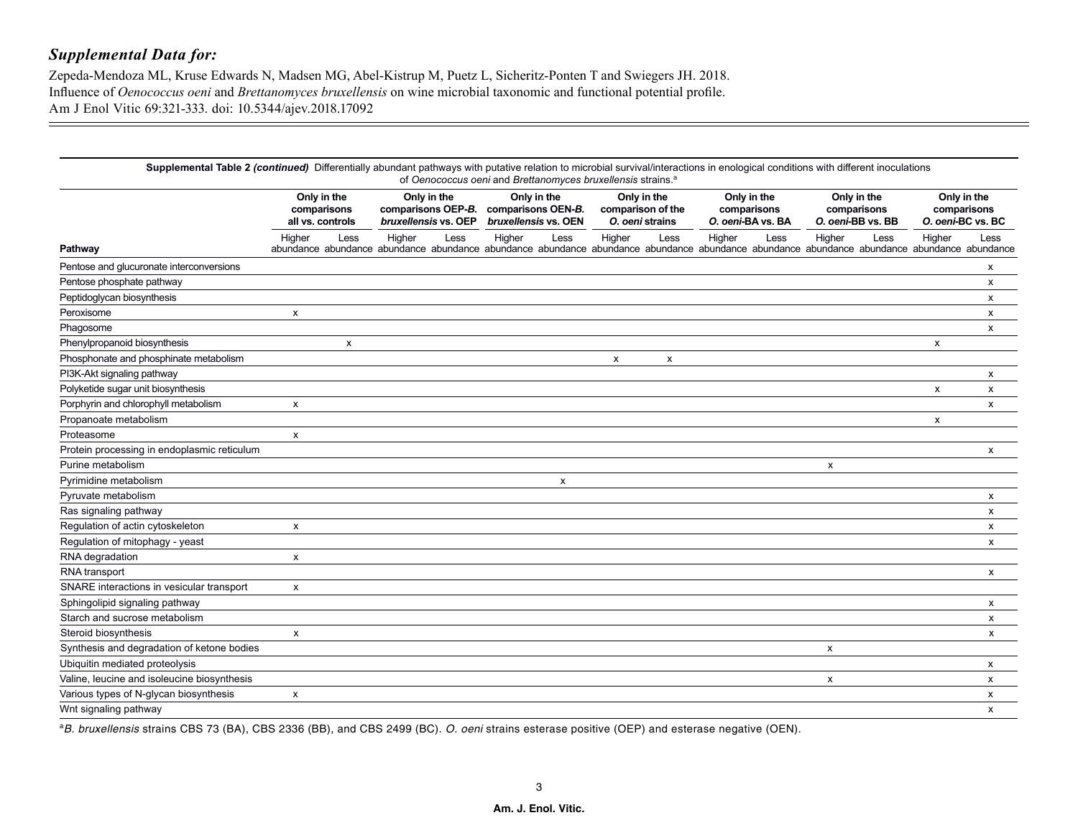Zepeda-Mendoza ML, Kruse Edwards N, Madsen MG, Abel-Kistrup M, Puetz L, Sicheritz-Ponten T and Swiegers JH. 2018. Influence of *Oenococcus oeni* and *Brettanomyces bruxellensis* on wine microbial taxonomic and functional potential profile. Am J Enol Vitic 69:321-333. doi: 10.5344/ajev.2018.17092

| Supplemental Table 2 (continued) Differentially abundant pathways with putative relation to microbial survival/interactions in enological conditions with different inoculations<br>of Oenococcus oeni and Brettanomyces bruxellensis strains. <sup>a</sup> |                                                |      |                                     |      |                                                                              |      |                                                     |      |                                                 |      |                                                 |      |                                                                                                                                                                                               |      |
|-------------------------------------------------------------------------------------------------------------------------------------------------------------------------------------------------------------------------------------------------------------|------------------------------------------------|------|-------------------------------------|------|------------------------------------------------------------------------------|------|-----------------------------------------------------|------|-------------------------------------------------|------|-------------------------------------------------|------|-----------------------------------------------------------------------------------------------------------------------------------------------------------------------------------------------|------|
|                                                                                                                                                                                                                                                             | Only in the<br>comparisons<br>all vs. controls |      | Only in the<br>bruxellensis vs. OEP |      | Only in the<br>comparisons OEP-B. comparisons OEN-B.<br>bruxellensis vs. OEN |      | Only in the<br>comparison of the<br>O. oeni strains |      | Only in the<br>comparisons<br>O. oeni-BA vs. BA |      | Only in the<br>comparisons<br>O. oeni-BB vs. BB |      | Only in the<br>comparisons<br>O. oeni-BC vs. BC                                                                                                                                               |      |
| Pathway                                                                                                                                                                                                                                                     | Higher                                         | Less | Higher                              | Less | Higher                                                                       | Less | Higher                                              | Less | Higher                                          | Less | Higher                                          | Less | Higher<br>abundance abundance abundance abundance abundance abundance abundance abundance abundance abundance abundance abundance abundance abundance abundance abundance abundance abundance | Less |
| Pentose and glucuronate interconversions                                                                                                                                                                                                                    |                                                |      |                                     |      |                                                                              |      |                                                     |      |                                                 |      |                                                 |      |                                                                                                                                                                                               | x    |
| Pentose phosphate pathway                                                                                                                                                                                                                                   |                                                |      |                                     |      |                                                                              |      |                                                     |      |                                                 |      |                                                 |      |                                                                                                                                                                                               | x    |
| Peptidoglycan biosynthesis                                                                                                                                                                                                                                  |                                                |      |                                     |      |                                                                              |      |                                                     |      |                                                 |      |                                                 |      |                                                                                                                                                                                               | x    |
| Peroxisome                                                                                                                                                                                                                                                  | x                                              |      |                                     |      |                                                                              |      |                                                     |      |                                                 |      |                                                 |      |                                                                                                                                                                                               | x    |
| Phagosome                                                                                                                                                                                                                                                   |                                                |      |                                     |      |                                                                              |      |                                                     |      |                                                 |      |                                                 |      |                                                                                                                                                                                               | x    |
| Phenylpropanoid biosynthesis                                                                                                                                                                                                                                |                                                | X    |                                     |      |                                                                              |      |                                                     |      |                                                 |      |                                                 |      | x                                                                                                                                                                                             |      |
| Phosphonate and phosphinate metabolism                                                                                                                                                                                                                      |                                                |      |                                     |      |                                                                              |      | x                                                   | X    |                                                 |      |                                                 |      |                                                                                                                                                                                               |      |
| PI3K-Akt signaling pathway                                                                                                                                                                                                                                  |                                                |      |                                     |      |                                                                              |      |                                                     |      |                                                 |      |                                                 |      |                                                                                                                                                                                               | x    |
| Polyketide sugar unit biosynthesis                                                                                                                                                                                                                          |                                                |      |                                     |      |                                                                              |      |                                                     |      |                                                 |      |                                                 |      | X                                                                                                                                                                                             | X    |
| Porphyrin and chlorophyll metabolism                                                                                                                                                                                                                        | X                                              |      |                                     |      |                                                                              |      |                                                     |      |                                                 |      |                                                 |      |                                                                                                                                                                                               | X    |
| Propanoate metabolism                                                                                                                                                                                                                                       |                                                |      |                                     |      |                                                                              |      |                                                     |      |                                                 |      |                                                 |      | X                                                                                                                                                                                             |      |
| Proteasome                                                                                                                                                                                                                                                  | X                                              |      |                                     |      |                                                                              |      |                                                     |      |                                                 |      |                                                 |      |                                                                                                                                                                                               |      |
| Protein processing in endoplasmic reticulum                                                                                                                                                                                                                 |                                                |      |                                     |      |                                                                              |      |                                                     |      |                                                 |      |                                                 |      |                                                                                                                                                                                               | X    |
| Purine metabolism                                                                                                                                                                                                                                           |                                                |      |                                     |      |                                                                              |      |                                                     |      |                                                 |      | X                                               |      |                                                                                                                                                                                               |      |
| Pyrimidine metabolism                                                                                                                                                                                                                                       |                                                |      |                                     |      |                                                                              | x    |                                                     |      |                                                 |      |                                                 |      |                                                                                                                                                                                               |      |
| Pyruvate metabolism                                                                                                                                                                                                                                         |                                                |      |                                     |      |                                                                              |      |                                                     |      |                                                 |      |                                                 |      |                                                                                                                                                                                               | х    |
| Ras signaling pathway                                                                                                                                                                                                                                       |                                                |      |                                     |      |                                                                              |      |                                                     |      |                                                 |      |                                                 |      |                                                                                                                                                                                               | X    |
| Regulation of actin cytoskeleton                                                                                                                                                                                                                            | X                                              |      |                                     |      |                                                                              |      |                                                     |      |                                                 |      |                                                 |      |                                                                                                                                                                                               | X    |
| Regulation of mitophagy - yeast                                                                                                                                                                                                                             |                                                |      |                                     |      |                                                                              |      |                                                     |      |                                                 |      |                                                 |      |                                                                                                                                                                                               | X    |
| RNA degradation                                                                                                                                                                                                                                             | $\pmb{\times}$                                 |      |                                     |      |                                                                              |      |                                                     |      |                                                 |      |                                                 |      |                                                                                                                                                                                               |      |
| RNA transport                                                                                                                                                                                                                                               |                                                |      |                                     |      |                                                                              |      |                                                     |      |                                                 |      |                                                 |      |                                                                                                                                                                                               | X    |
| SNARE interactions in vesicular transport                                                                                                                                                                                                                   | $\boldsymbol{\mathsf{x}}$                      |      |                                     |      |                                                                              |      |                                                     |      |                                                 |      |                                                 |      |                                                                                                                                                                                               |      |
| Sphingolipid signaling pathway                                                                                                                                                                                                                              |                                                |      |                                     |      |                                                                              |      |                                                     |      |                                                 |      |                                                 |      |                                                                                                                                                                                               | X    |
| Starch and sucrose metabolism                                                                                                                                                                                                                               |                                                |      |                                     |      |                                                                              |      |                                                     |      |                                                 |      |                                                 |      |                                                                                                                                                                                               | X    |
| Steroid biosynthesis                                                                                                                                                                                                                                        | X                                              |      |                                     |      |                                                                              |      |                                                     |      |                                                 |      |                                                 |      |                                                                                                                                                                                               | X    |
| Synthesis and degradation of ketone bodies                                                                                                                                                                                                                  |                                                |      |                                     |      |                                                                              |      |                                                     |      |                                                 |      | x                                               |      |                                                                                                                                                                                               |      |
| Ubiquitin mediated proteolysis                                                                                                                                                                                                                              |                                                |      |                                     |      |                                                                              |      |                                                     |      |                                                 |      |                                                 |      |                                                                                                                                                                                               | x    |
| Valine, leucine and isoleucine biosynthesis                                                                                                                                                                                                                 |                                                |      |                                     |      |                                                                              |      |                                                     |      |                                                 |      | x                                               |      |                                                                                                                                                                                               | x    |
| Various types of N-glycan biosynthesis                                                                                                                                                                                                                      | $\boldsymbol{\mathsf{x}}$                      |      |                                     |      |                                                                              |      |                                                     |      |                                                 |      |                                                 |      |                                                                                                                                                                                               | x    |
| Wnt signaling pathway                                                                                                                                                                                                                                       |                                                |      |                                     |      |                                                                              |      |                                                     |      |                                                 |      |                                                 |      |                                                                                                                                                                                               | X    |

a*B. bruxellensis* strains CBS 73 (BA), CBS 2336 (BB), and CBS 2499 (BC). *O. oeni* strains esterase positive (OEP) and esterase negative (OEN).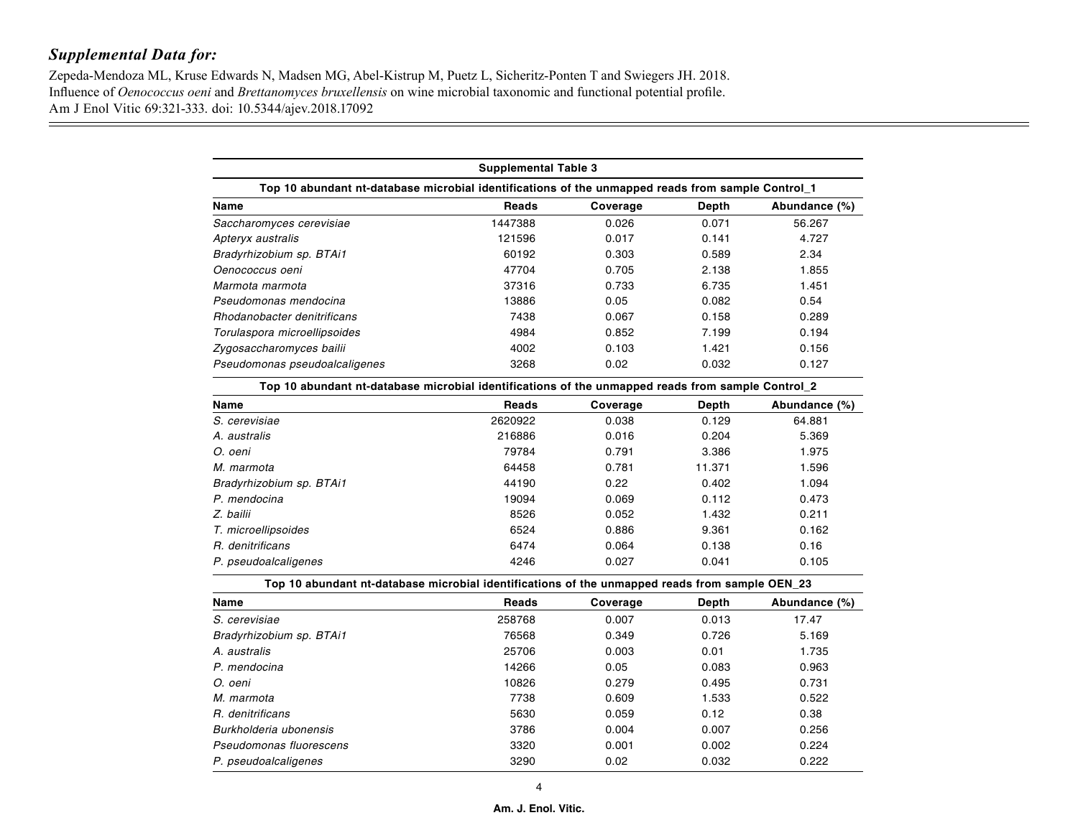Zepeda-Mendoza ML, Kruse Edwards N, Madsen MG, Abel-Kistrup M, Puetz L, Sicheritz-Ponten T and Swiegers JH. 2018. Influence of *Oenococcus oeni* and *Brettanomyces bruxellensis* on wine microbial taxonomic and functional potential profile. Am J Enol Vitic 69:321-333. doi: 10.5344/ajev.2018.17092

| <b>Supplemental Table 3</b>                                                                       |              |          |       |               |  |  |  |  |
|---------------------------------------------------------------------------------------------------|--------------|----------|-------|---------------|--|--|--|--|
| Top 10 abundant nt-database microbial identifications of the unmapped reads from sample Control_1 |              |          |       |               |  |  |  |  |
| Name                                                                                              | <b>Reads</b> | Coverage | Depth | Abundance (%) |  |  |  |  |
| Saccharomyces cerevisiae                                                                          | 1447388      | 0.026    | 0.071 | 56.267        |  |  |  |  |
| Apteryx australis                                                                                 | 121596       | 0.017    | 0.141 | 4.727         |  |  |  |  |
| Bradyrhizobium sp. BTAi1                                                                          | 60192        | 0.303    | 0.589 | 2.34          |  |  |  |  |
| Oenococcus oeni                                                                                   | 47704        | 0.705    | 2.138 | 1.855         |  |  |  |  |
| Marmota marmota                                                                                   | 37316        | 0.733    | 6.735 | 1.451         |  |  |  |  |
| Pseudomonas mendocina                                                                             | 13886        | 0.05     | 0.082 | 0.54          |  |  |  |  |
| Rhodanobacter denitrificans                                                                       | 7438         | 0.067    | 0.158 | 0.289         |  |  |  |  |
| Torulaspora microellipsoides                                                                      | 4984         | 0.852    | 7.199 | 0.194         |  |  |  |  |
| Zygosaccharomyces bailii                                                                          | 4002         | 0.103    | 1.421 | 0.156         |  |  |  |  |
| Pseudomonas pseudoalcaligenes                                                                     | 3268         | 0.02     | 0.032 | 0.127         |  |  |  |  |
| Ton 10 shundant nt-database microbial identifications of the unmanned reads from sample Control 2 |              |          |       |               |  |  |  |  |

| TOP TO abundant in-database iniciobial identifications of the uninapped reads from sample Control_Z |         |          |        |               |  |  |  |  |  |
|-----------------------------------------------------------------------------------------------------|---------|----------|--------|---------------|--|--|--|--|--|
| Name                                                                                                | Reads   | Coverage | Depth  | Abundance (%) |  |  |  |  |  |
| S. cerevisiae                                                                                       | 2620922 | 0.038    | 0.129  | 64.881        |  |  |  |  |  |
| A. australis                                                                                        | 216886  | 0.016    | 0.204  | 5.369         |  |  |  |  |  |
| O. oeni                                                                                             | 79784   | 0.791    | 3.386  | 1.975         |  |  |  |  |  |
| M. marmota                                                                                          | 64458   | 0.781    | 11.371 | 1.596         |  |  |  |  |  |
| Bradyrhizobium sp. BTAi1                                                                            | 44190   | 0.22     | 0.402  | 1.094         |  |  |  |  |  |
| P. mendocina                                                                                        | 19094   | 0.069    | 0.112  | 0.473         |  |  |  |  |  |
| Z. bailii                                                                                           | 8526    | 0.052    | 1.432  | 0.211         |  |  |  |  |  |
| T. microellipsoides                                                                                 | 6524    | 0.886    | 9.361  | 0.162         |  |  |  |  |  |
| R. denitrificans                                                                                    | 6474    | 0.064    | 0.138  | 0.16          |  |  |  |  |  |
| P. pseudoalcaligenes                                                                                | 4246    | 0.027    | 0.041  | 0.105         |  |  |  |  |  |

**Top 10 abundant nt-database microbial identifications of the unmapped reads from sample OEN\_23**

|                          |        | . .      |       |               |
|--------------------------|--------|----------|-------|---------------|
| Name                     | Reads  | Coverage | Depth | Abundance (%) |
| S. cerevisiae            | 258768 | 0.007    | 0.013 | 17.47         |
| Bradyrhizobium sp. BTAi1 | 76568  | 0.349    | 0.726 | 5.169         |
| A. australis             | 25706  | 0.003    | 0.01  | 1.735         |
| P. mendocina             | 14266  | 0.05     | 0.083 | 0.963         |
| O. oeni                  | 10826  | 0.279    | 0.495 | 0.731         |
| M. marmota               | 7738   | 0.609    | 1.533 | 0.522         |
| R. denitrificans         | 5630   | 0.059    | 0.12  | 0.38          |
| Burkholderia ubonensis   | 3786   | 0.004    | 0.007 | 0.256         |
| Pseudomonas fluorescens  | 3320   | 0.001    | 0.002 | 0.224         |
| P. pseudoalcaligenes     | 3290   | 0.02     | 0.032 | 0.222         |
|                          |        |          |       |               |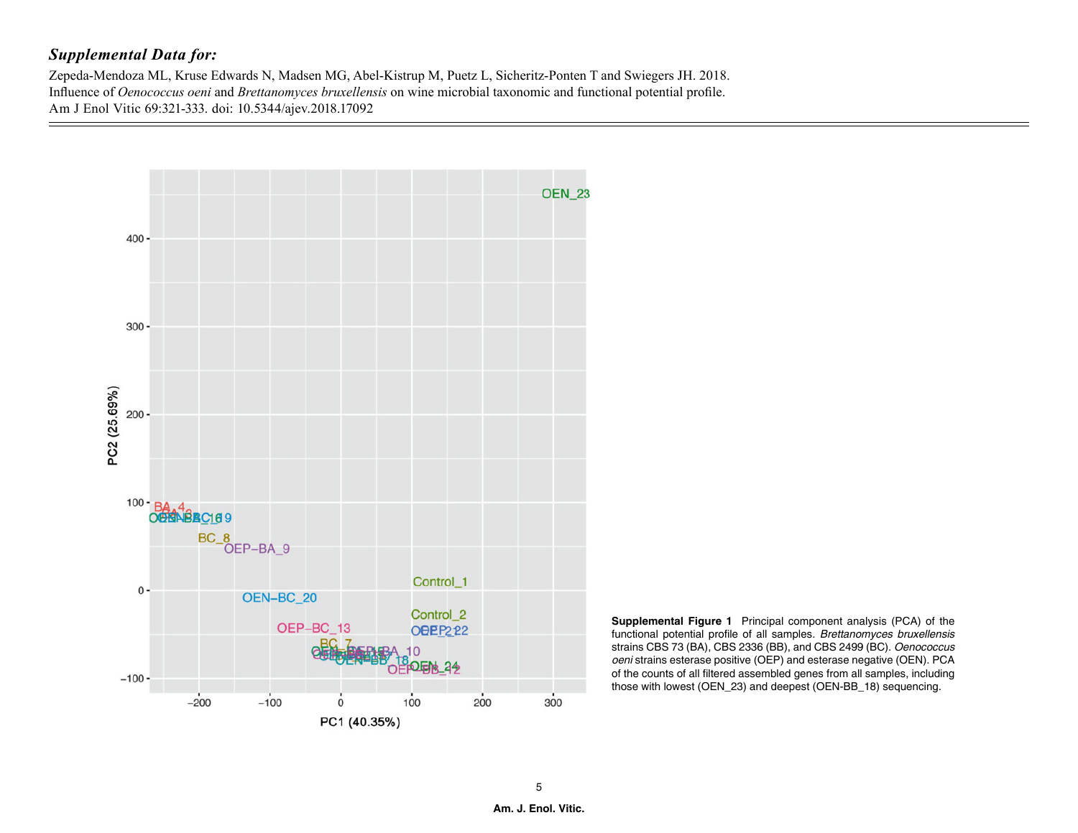Zepeda-Mendoza ML, Kruse Edwards N, Madsen MG, Abel-Kistrup M, Puetz L, Sicheritz-Ponten T and Swiegers JH. 2018. Influence of *Oenococcus oeni* and *Brettanomyces bruxellensis* on wine microbial taxonomic and functional potential profile. Am J Enol Vitic 69:321-333. doi: 10.5344/ajev.2018.17092



**Supplemental Figure 1** Principal component analysis (PCA) of the functional potential profile of all samples. *Brettanomyces bruxellensis* strains CBS 73 (BA), CBS 2336 (BB), and CBS 2499 (BC). *Oenococcus oeni* strains esterase positive (OEP) and esterase negative (OEN). PCA of the counts of all filtered assembled genes from all samples, including those with lowest (OEN\_23) and deepest (OEN-BB\_18) sequencing.